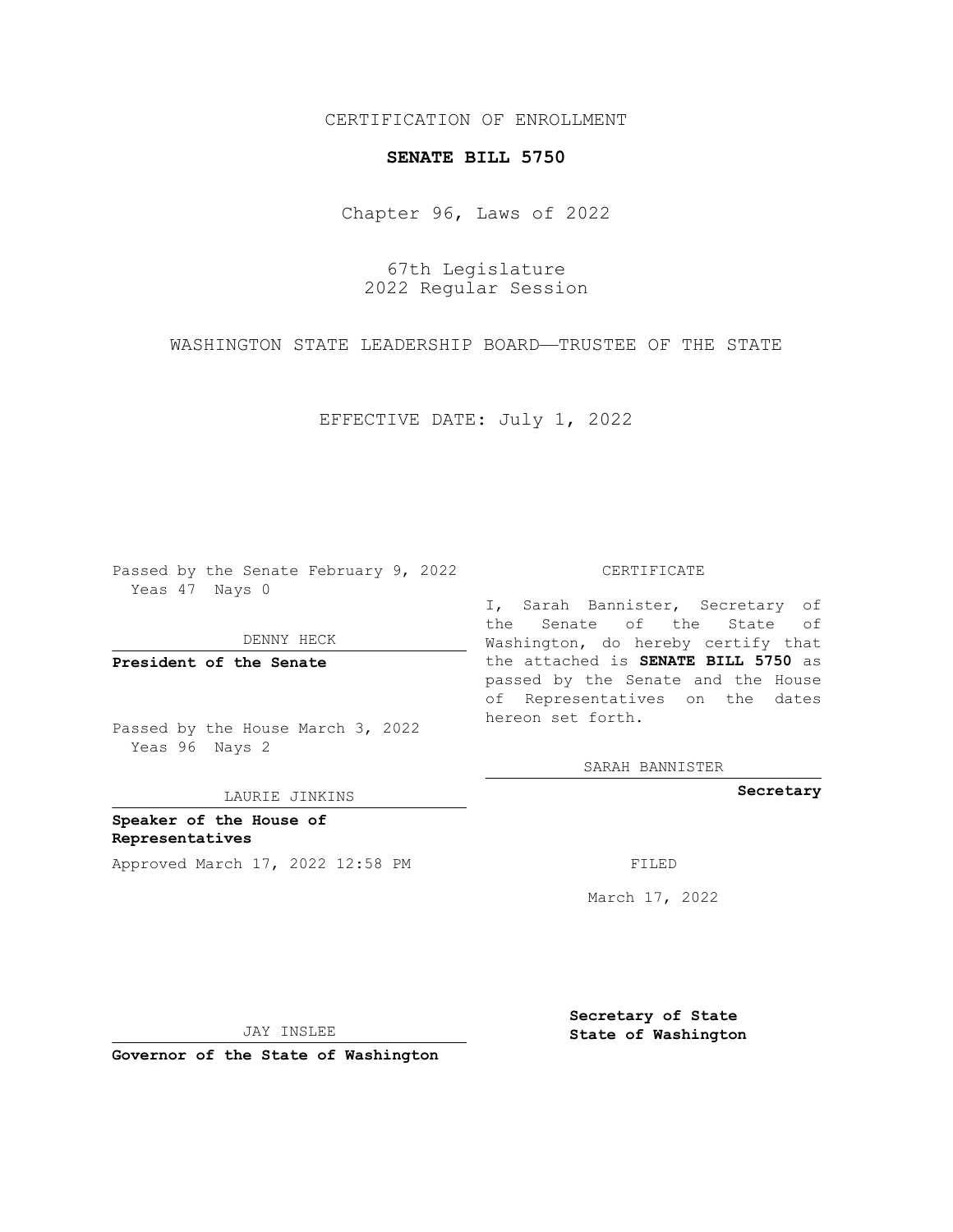CERTIFICATION OF ENROLLMENT

## **SENATE BILL 5750**

Chapter 96, Laws of 2022

67th Legislature 2022 Regular Session

WASHINGTON STATE LEADERSHIP BOARD—TRUSTEE OF THE STATE

EFFECTIVE DATE: July 1, 2022

Passed by the Senate February 9, 2022 Yeas 47 Nays 0

DENNY HECK

**President of the Senate**

Passed by the House March 3, 2022 Yeas 96 Nays 2

LAURIE JINKINS

**Speaker of the House of Representatives** Approved March 17, 2022 12:58 PM FILED

CERTIFICATE

I, Sarah Bannister, Secretary of the Senate of the State of Washington, do hereby certify that the attached is **SENATE BILL 5750** as passed by the Senate and the House of Representatives on the dates hereon set forth.

SARAH BANNISTER

**Secretary**

March 17, 2022

JAY INSLEE

**Governor of the State of Washington**

**Secretary of State State of Washington**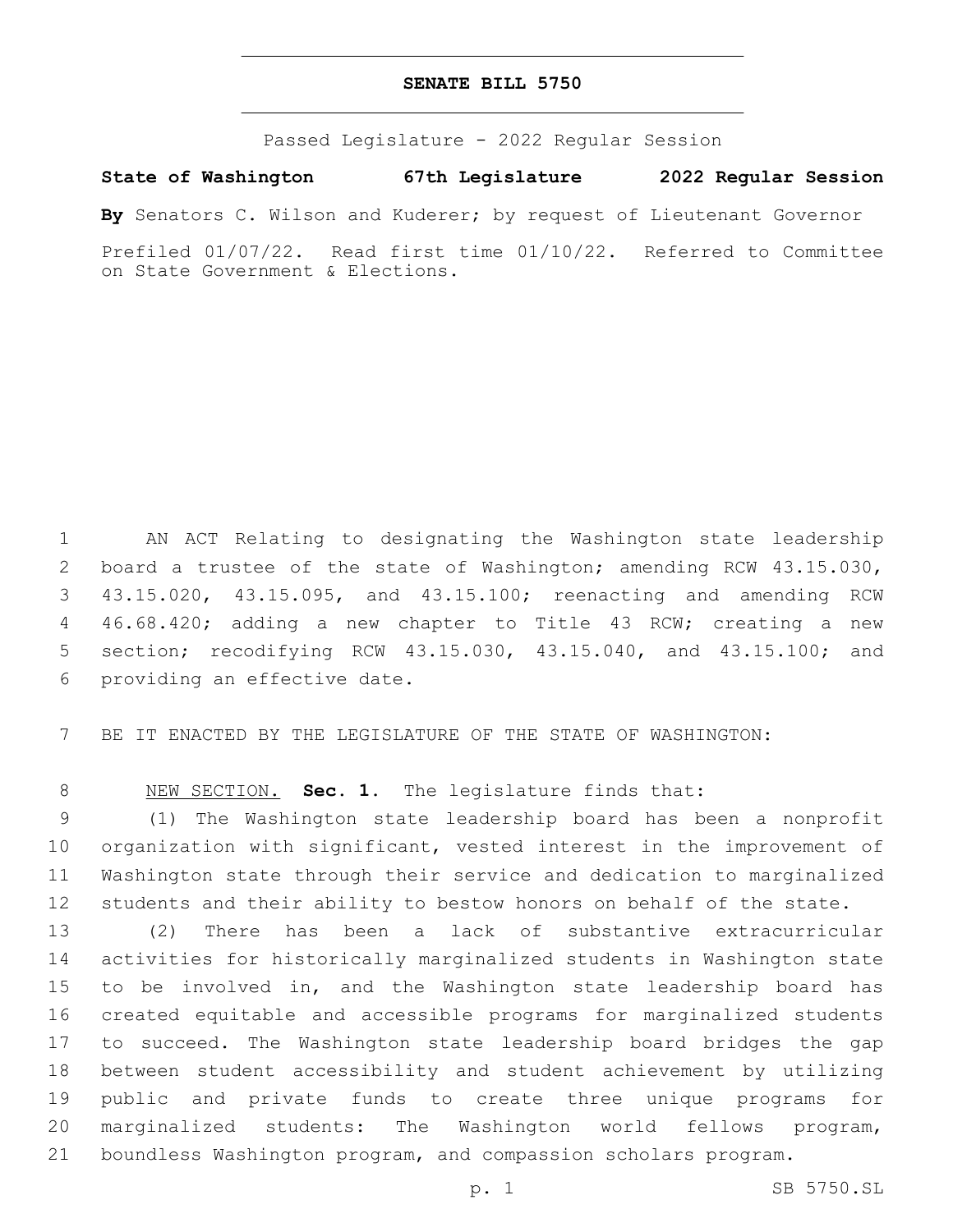## **SENATE BILL 5750**

Passed Legislature - 2022 Regular Session

**State of Washington 67th Legislature 2022 Regular Session**

**By** Senators C. Wilson and Kuderer; by request of Lieutenant Governor

Prefiled 01/07/22. Read first time 01/10/22. Referred to Committee on State Government & Elections.

 AN ACT Relating to designating the Washington state leadership board a trustee of the state of Washington; amending RCW 43.15.030, 43.15.020, 43.15.095, and 43.15.100; reenacting and amending RCW 46.68.420; adding a new chapter to Title 43 RCW; creating a new section; recodifying RCW 43.15.030, 43.15.040, and 43.15.100; and 6 providing an effective date.

BE IT ENACTED BY THE LEGISLATURE OF THE STATE OF WASHINGTON:

NEW SECTION. **Sec. 1.** The legislature finds that:

 (1) The Washington state leadership board has been a nonprofit organization with significant, vested interest in the improvement of Washington state through their service and dedication to marginalized students and their ability to bestow honors on behalf of the state.

 (2) There has been a lack of substantive extracurricular activities for historically marginalized students in Washington state to be involved in, and the Washington state leadership board has created equitable and accessible programs for marginalized students to succeed. The Washington state leadership board bridges the gap between student accessibility and student achievement by utilizing public and private funds to create three unique programs for marginalized students: The Washington world fellows program, boundless Washington program, and compassion scholars program.

p. 1 SB 5750.SL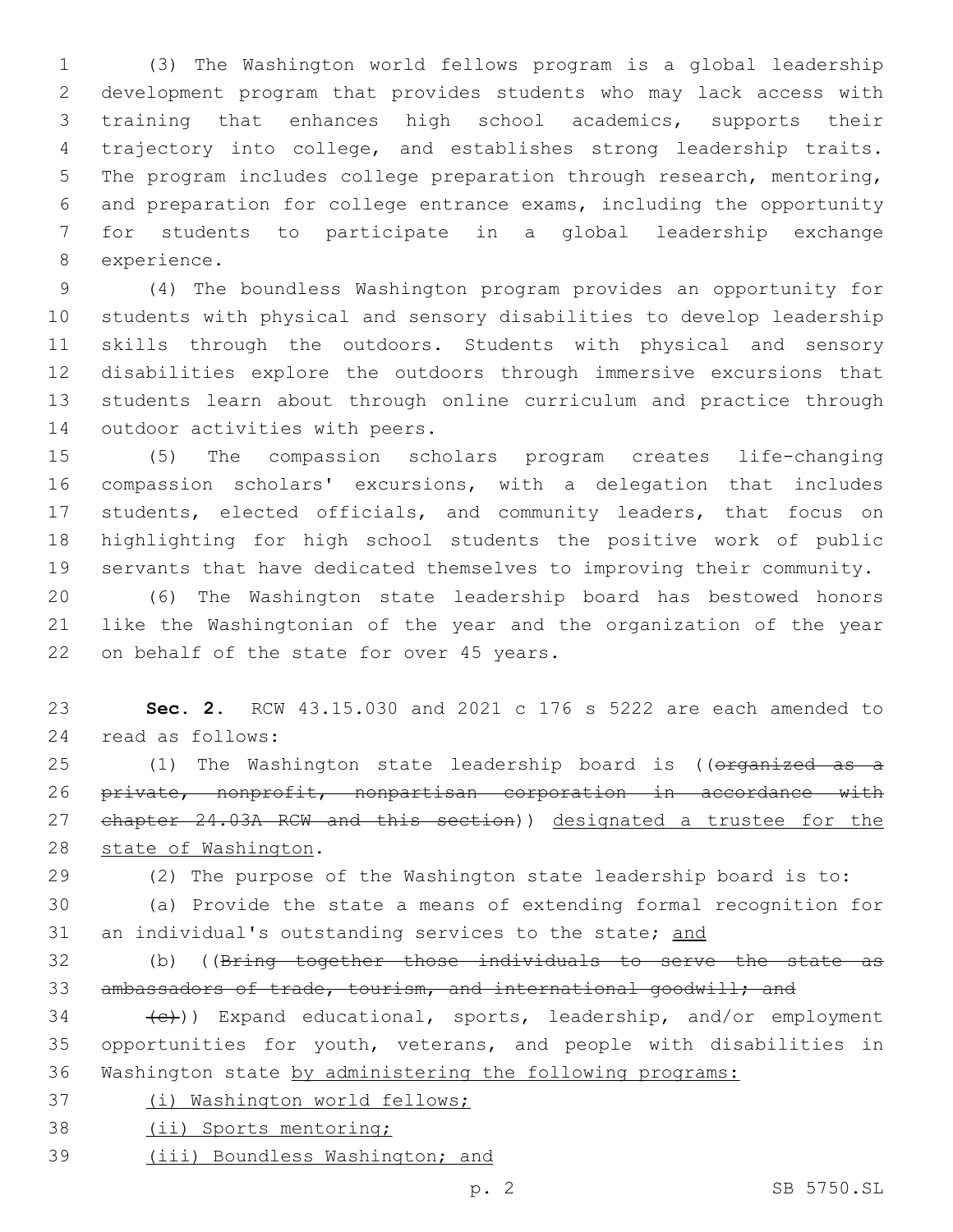(3) The Washington world fellows program is a global leadership development program that provides students who may lack access with training that enhances high school academics, supports their trajectory into college, and establishes strong leadership traits. The program includes college preparation through research, mentoring, and preparation for college entrance exams, including the opportunity for students to participate in a global leadership exchange 8 experience.

 (4) The boundless Washington program provides an opportunity for students with physical and sensory disabilities to develop leadership skills through the outdoors. Students with physical and sensory disabilities explore the outdoors through immersive excursions that students learn about through online curriculum and practice through 14 outdoor activities with peers.

 (5) The compassion scholars program creates life-changing compassion scholars' excursions, with a delegation that includes students, elected officials, and community leaders, that focus on highlighting for high school students the positive work of public servants that have dedicated themselves to improving their community.

 (6) The Washington state leadership board has bestowed honors like the Washingtonian of the year and the organization of the year 22 on behalf of the state for over 45 years.

 **Sec. 2.** RCW 43.15.030 and 2021 c 176 s 5222 are each amended to read as follows:24

25 (1) The Washington state leadership board is ((organized as a private, nonprofit, nonpartisan corporation in accordance with 27 chapter 24.03A RCW and this section)) designated a trustee for the 28 state of Washington.

(2) The purpose of the Washington state leadership board is to:

 (a) Provide the state a means of extending formal recognition for 31 an individual's outstanding services to the state; and

 (b) ((Bring together those individuals to serve the state as 33 ambassadors of trade, tourism, and international goodwill; and

 $\left\{ \left( \left\{ \epsilon\right\} \right\} \right)$  Expand educational, sports, leadership, and/or employment opportunities for youth, veterans, and people with disabilities in Washington state by administering the following programs:

(i) Washington world fellows;

(ii) Sports mentoring;

(iii) Boundless Washington; and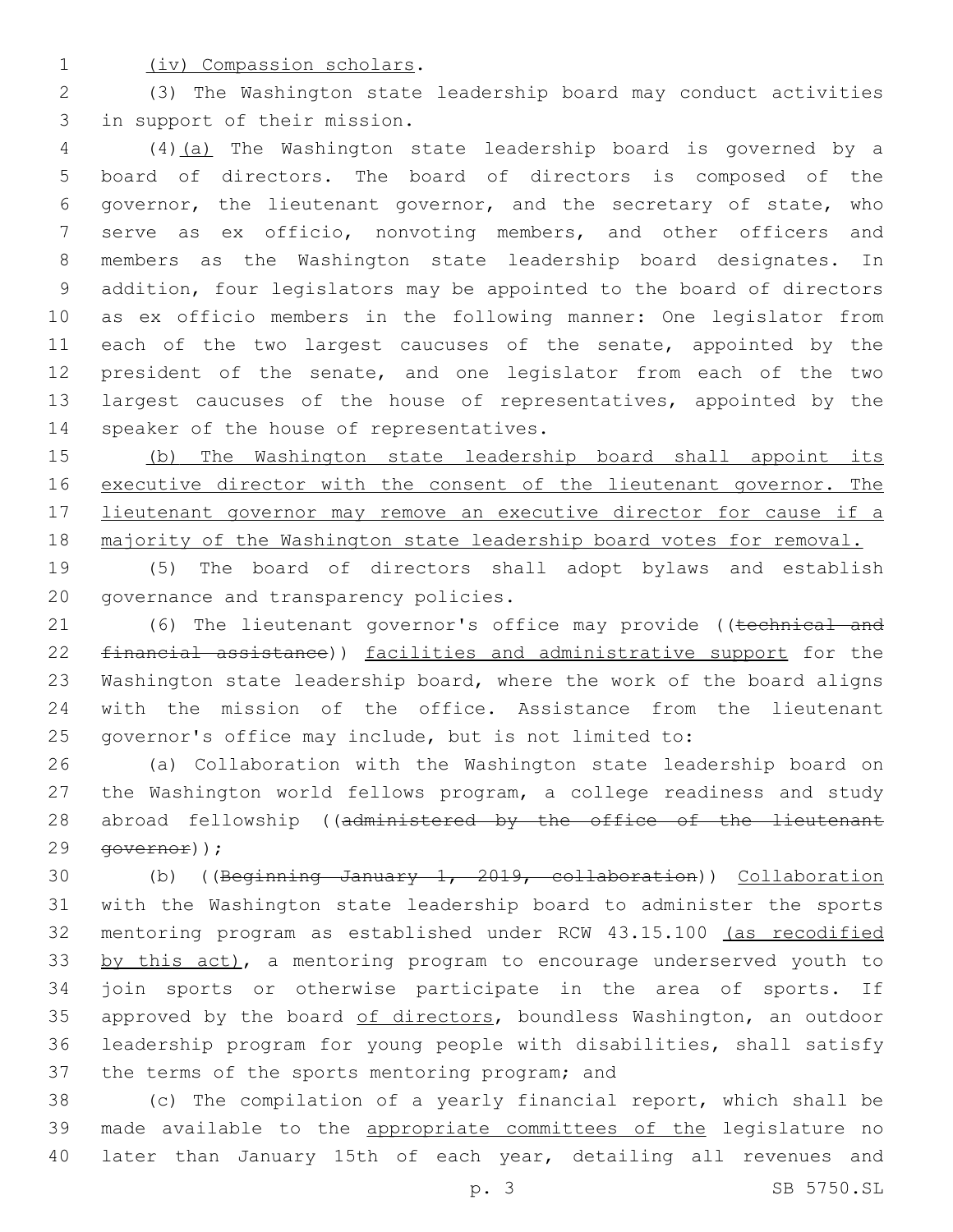1 (iv) Compassion scholars.

2 (3) The Washington state leadership board may conduct activities 3 in support of their mission.

 (4)(a) The Washington state leadership board is governed by a board of directors. The board of directors is composed of the governor, the lieutenant governor, and the secretary of state, who serve as ex officio, nonvoting members, and other officers and members as the Washington state leadership board designates. In addition, four legislators may be appointed to the board of directors as ex officio members in the following manner: One legislator from 11 each of the two largest caucuses of the senate, appointed by the president of the senate, and one legislator from each of the two 13 largest caucuses of the house of representatives, appointed by the 14 speaker of the house of representatives.

15 (b) The Washington state leadership board shall appoint its 16 executive director with the consent of the lieutenant governor. The 17 lieutenant governor may remove an executive director for cause if a 18 majority of the Washington state leadership board votes for removal.

19 (5) The board of directors shall adopt bylaws and establish 20 governance and transparency policies.

21 (6) The lieutenant governor's office may provide ((technical and 22 financial assistance)) facilities and administrative support for the 23 Washington state leadership board, where the work of the board aligns 24 with the mission of the office. Assistance from the lieutenant 25 governor's office may include, but is not limited to:

26 (a) Collaboration with the Washington state leadership board on 27 the Washington world fellows program, a college readiness and study 28 abroad fellowship ((administered by the office of the lieutenant 29 <del>qovernor</del>));

 (b) ((Beginning January 1, 2019, collaboration)) Collaboration with the Washington state leadership board to administer the sports mentoring program as established under RCW 43.15.100 (as recodified 33 by this act), a mentoring program to encourage underserved youth to join sports or otherwise participate in the area of sports. If 35 approved by the board of directors, boundless Washington, an outdoor leadership program for young people with disabilities, shall satisfy 37 the terms of the sports mentoring program; and

38 (c) The compilation of a yearly financial report, which shall be 39 made available to the appropriate committees of the legislature no 40 later than January 15th of each year, detailing all revenues and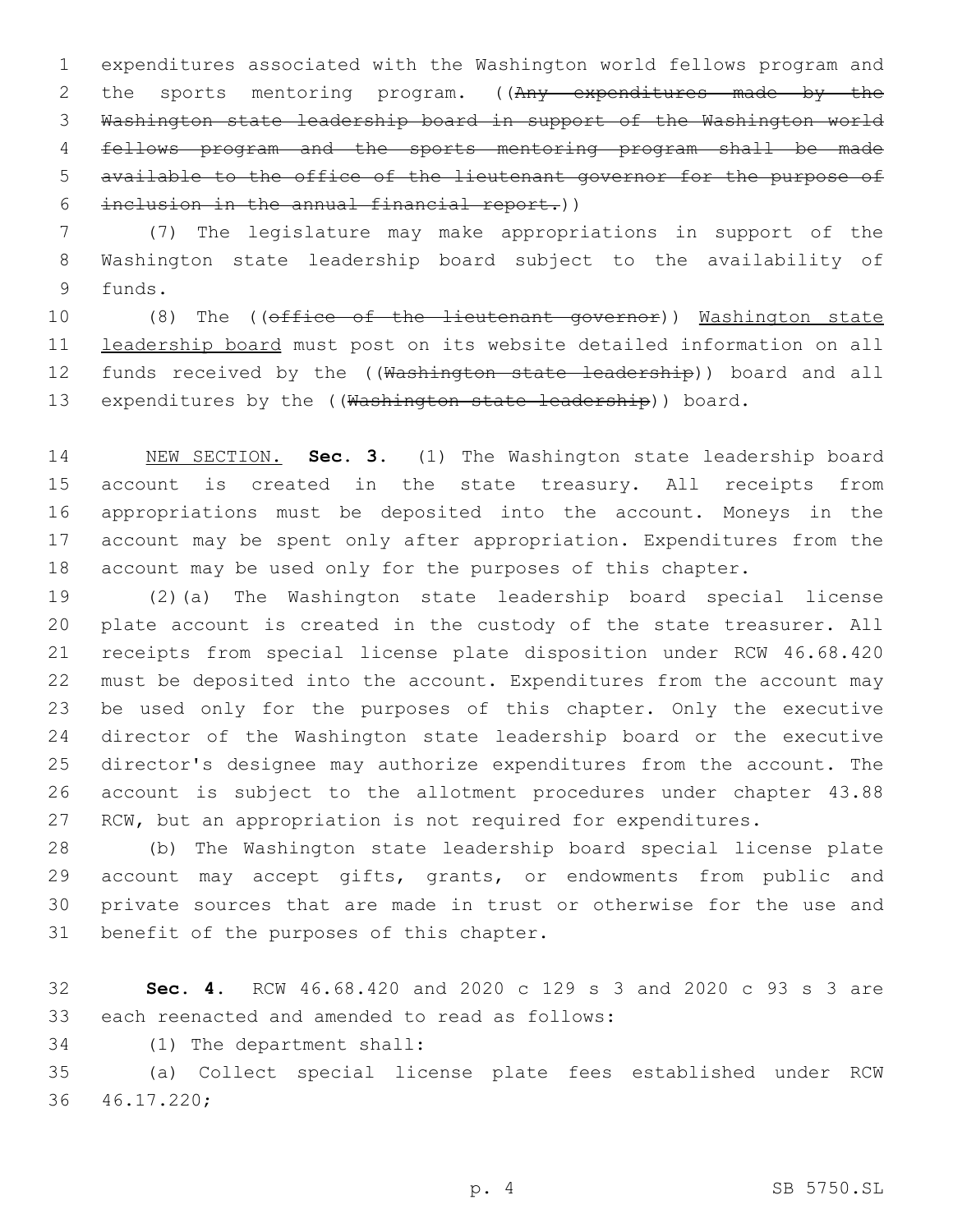expenditures associated with the Washington world fellows program and 2 the sports mentoring program. ((Any expenditures made by the Washington state leadership board in support of the Washington world fellows program and the sports mentoring program shall be made available to the office of the lieutenant governor for the purpose of inclusion in the annual financial report.))

 (7) The legislature may make appropriations in support of the Washington state leadership board subject to the availability of 9 funds.

10 (8) The ((office of the lieutenant governor)) Washington state leadership board must post on its website detailed information on all 12 funds received by the ((Washington state leadership)) board and all 13 expenditures by the ((Washington state leadership)) board.

 NEW SECTION. **Sec. 3.** (1) The Washington state leadership board account is created in the state treasury. All receipts from appropriations must be deposited into the account. Moneys in the account may be spent only after appropriation. Expenditures from the account may be used only for the purposes of this chapter.

 (2)(a) The Washington state leadership board special license plate account is created in the custody of the state treasurer. All receipts from special license plate disposition under RCW 46.68.420 must be deposited into the account. Expenditures from the account may be used only for the purposes of this chapter. Only the executive director of the Washington state leadership board or the executive director's designee may authorize expenditures from the account. The account is subject to the allotment procedures under chapter 43.88 27 RCW, but an appropriation is not required for expenditures.

 (b) The Washington state leadership board special license plate 29 account may accept gifts, grants, or endowments from public and private sources that are made in trust or otherwise for the use and 31 benefit of the purposes of this chapter.

 **Sec. 4.** RCW 46.68.420 and 2020 c 129 s 3 and 2020 c 93 s 3 are 33 each reenacted and amended to read as follows:

34 (1) The department shall:

 (a) Collect special license plate fees established under RCW 46.17.220;36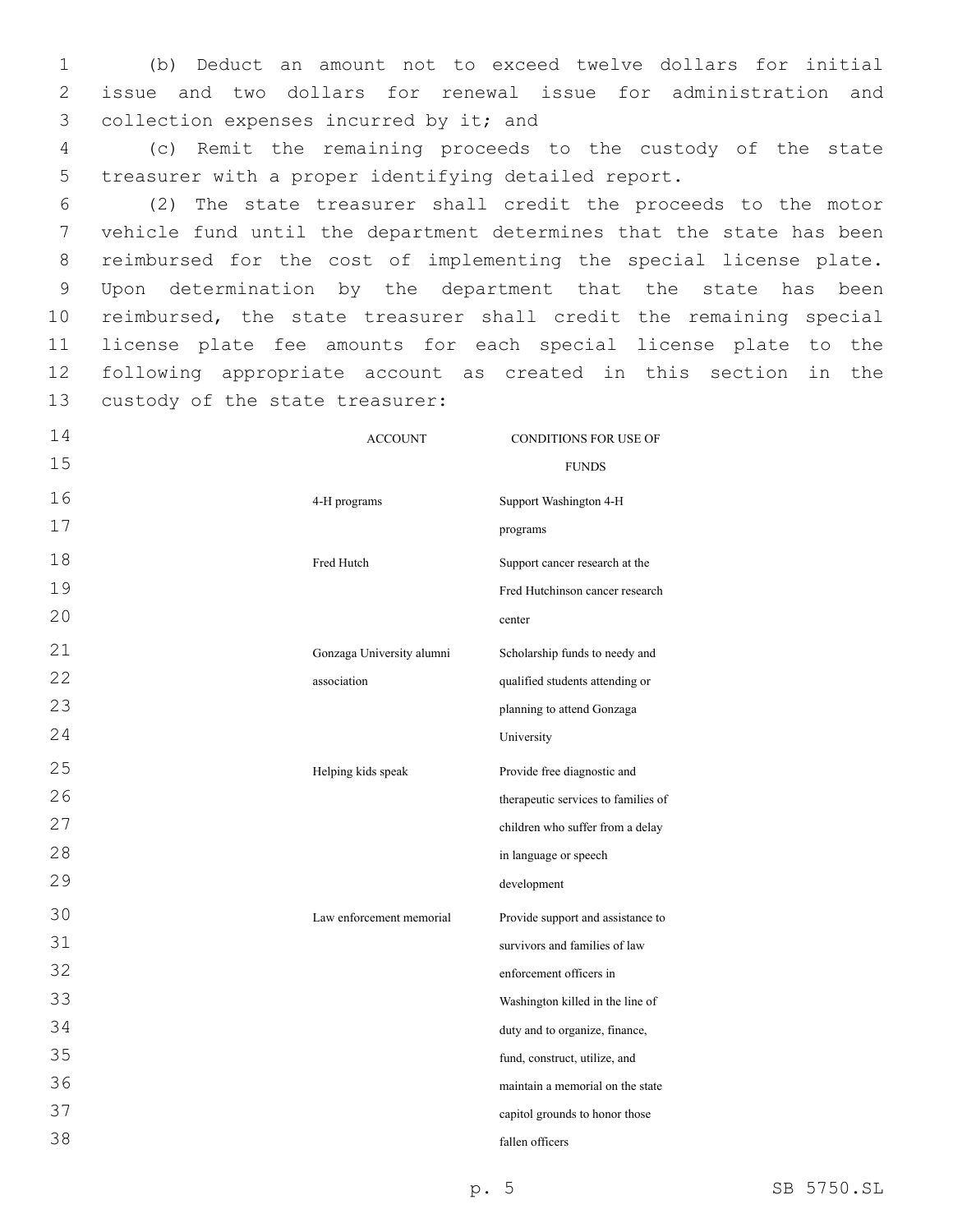1 (b) Deduct an amount not to exceed twelve dollars for initial 2 issue and two dollars for renewal issue for administration and 3 collection expenses incurred by it; and

4 (c) Remit the remaining proceeds to the custody of the state 5 treasurer with a proper identifying detailed report.

 (2) The state treasurer shall credit the proceeds to the motor vehicle fund until the department determines that the state has been reimbursed for the cost of implementing the special license plate. Upon determination by the department that the state has been reimbursed, the state treasurer shall credit the remaining special license plate fee amounts for each special license plate to the following appropriate account as created in this section in the 13 custody of the state treasurer:

14 15 ACCOUNT CONDITIONS FOR USE OF FUNDS 16 17 4-H programs Support Washington 4-H programs 18 19 20 Fred Hutch Support cancer research at the Fred Hutchinson cancer research center 21 22 23 24 Gonzaga University alumni association Scholarship funds to needy and qualified students attending or planning to attend Gonzaga University 25 26 27 28 29 Helping kids speak Provide free diagnostic and therapeutic services to families of children who suffer from a delay in language or speech development 30 31 32 33 34 35 36 37 38 Law enforcement memorial Provide support and assistance to survivors and families of law enforcement officers in Washington killed in the line of duty and to organize, finance, fund, construct, utilize, and maintain a memorial on the state capitol grounds to honor those fallen officers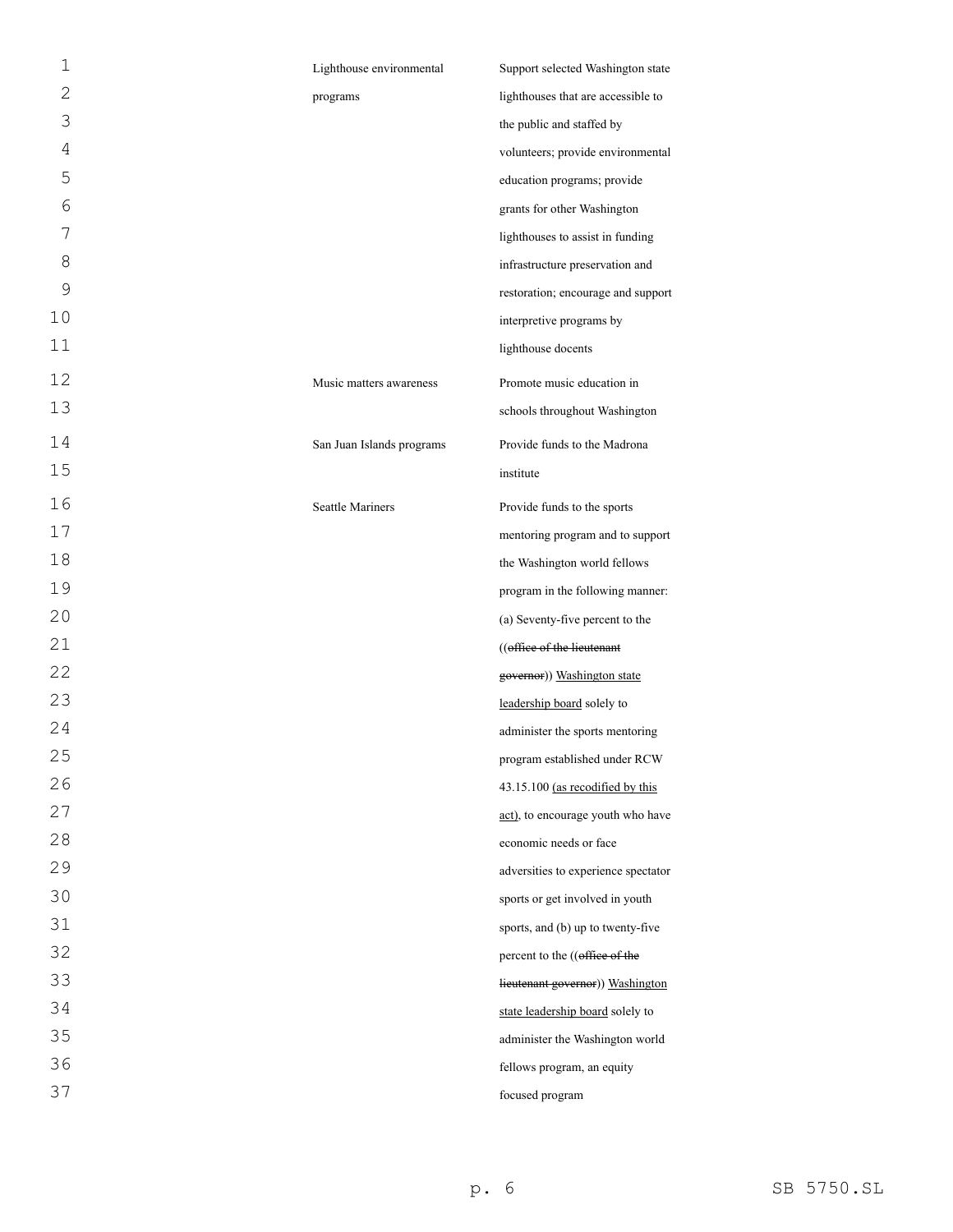| 1  | Lighthouse environmental  | Support selected Washington state   |
|----|---------------------------|-------------------------------------|
| 2  | programs                  | lighthouses that are accessible to  |
| 3  |                           | the public and staffed by           |
| 4  |                           | volunteers; provide environmental   |
| 5  |                           | education programs; provide         |
| 6  |                           | grants for other Washington         |
| 7  |                           | lighthouses to assist in funding    |
| 8  |                           | infrastructure preservation and     |
| 9  |                           | restoration; encourage and support  |
| 10 |                           | interpretive programs by            |
| 11 |                           | lighthouse docents                  |
| 12 | Music matters awareness   | Promote music education in          |
| 13 |                           | schools throughout Washington       |
| 14 | San Juan Islands programs | Provide funds to the Madrona        |
| 15 |                           | institute                           |
| 16 | <b>Seattle Mariners</b>   | Provide funds to the sports         |
| 17 |                           | mentoring program and to support    |
| 18 |                           | the Washington world fellows        |
| 19 |                           | program in the following manner:    |
| 20 |                           | (a) Seventy-five percent to the     |
| 21 |                           | ((office of the lieutenant          |
| 22 |                           | governor)) Washington state         |
| 23 |                           | leadership board solely to          |
| 24 |                           | administer the sports mentoring     |
| 25 |                           | program established under RCW       |
| 26 |                           | 43.15.100 (as recodified by this    |
| 27 |                           | act), to encourage youth who have   |
| 28 |                           | economic needs or face              |
| 29 |                           | adversities to experience spectator |
| 30 |                           | sports or get involved in youth     |
| 31 |                           | sports, and (b) up to twenty-five   |
| 32 |                           | percent to the ((office of the      |
| 33 |                           | lieutenant governor)) Washington    |
| 34 |                           | state leadership board solely to    |
| 35 |                           | administer the Washington world     |
| 36 |                           | fellows program, an equity          |
| 37 |                           | focused program                     |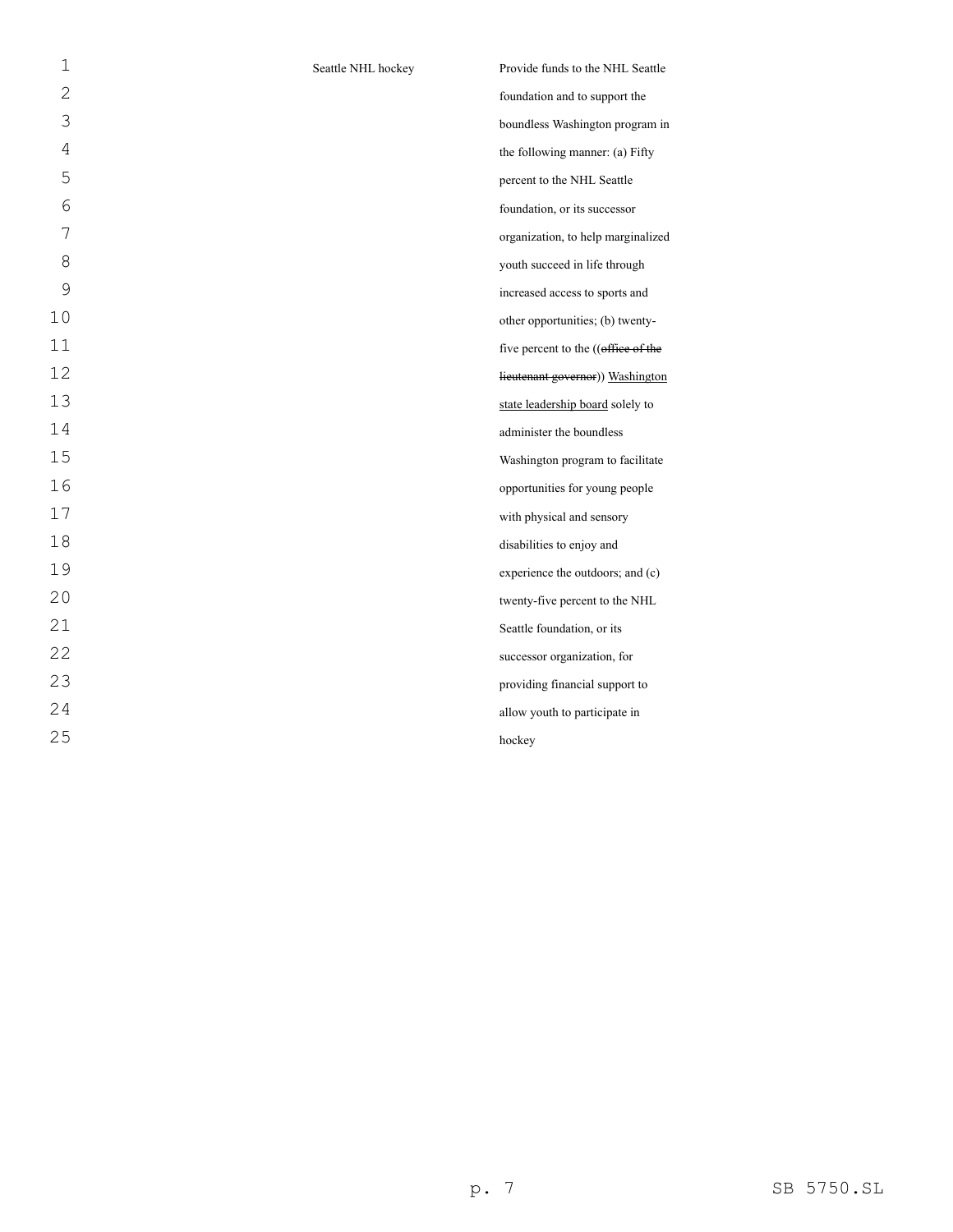| 1  | Seattle NHL hockey | Provide funds to the NHL Seattle    |
|----|--------------------|-------------------------------------|
| 2  |                    | foundation and to support the       |
| 3  |                    | boundless Washington program in     |
| 4  |                    | the following manner: (a) Fifty     |
| 5  |                    | percent to the NHL Seattle          |
| 6  |                    | foundation, or its successor        |
| 7  |                    | organization, to help marginalized  |
| 8  |                    | youth succeed in life through       |
| 9  |                    | increased access to sports and      |
| 10 |                    | other opportunities; (b) twenty-    |
| 11 |                    | five percent to the ((office of the |
| 12 |                    | lieutenant governor)) Washington    |
| 13 |                    | state leadership board solely to    |
| 14 |                    | administer the boundless            |
| 15 |                    | Washington program to facilitate    |
| 16 |                    | opportunities for young people      |
| 17 |                    | with physical and sensory           |
| 18 |                    | disabilities to enjoy and           |
| 19 |                    | experience the outdoors; and (c)    |
| 20 |                    | twenty-five percent to the NHL      |
| 21 |                    | Seattle foundation, or its          |
| 22 |                    | successor organization, for         |
| 23 |                    | providing financial support to      |
| 24 |                    | allow youth to participate in       |
| 25 |                    | hockey                              |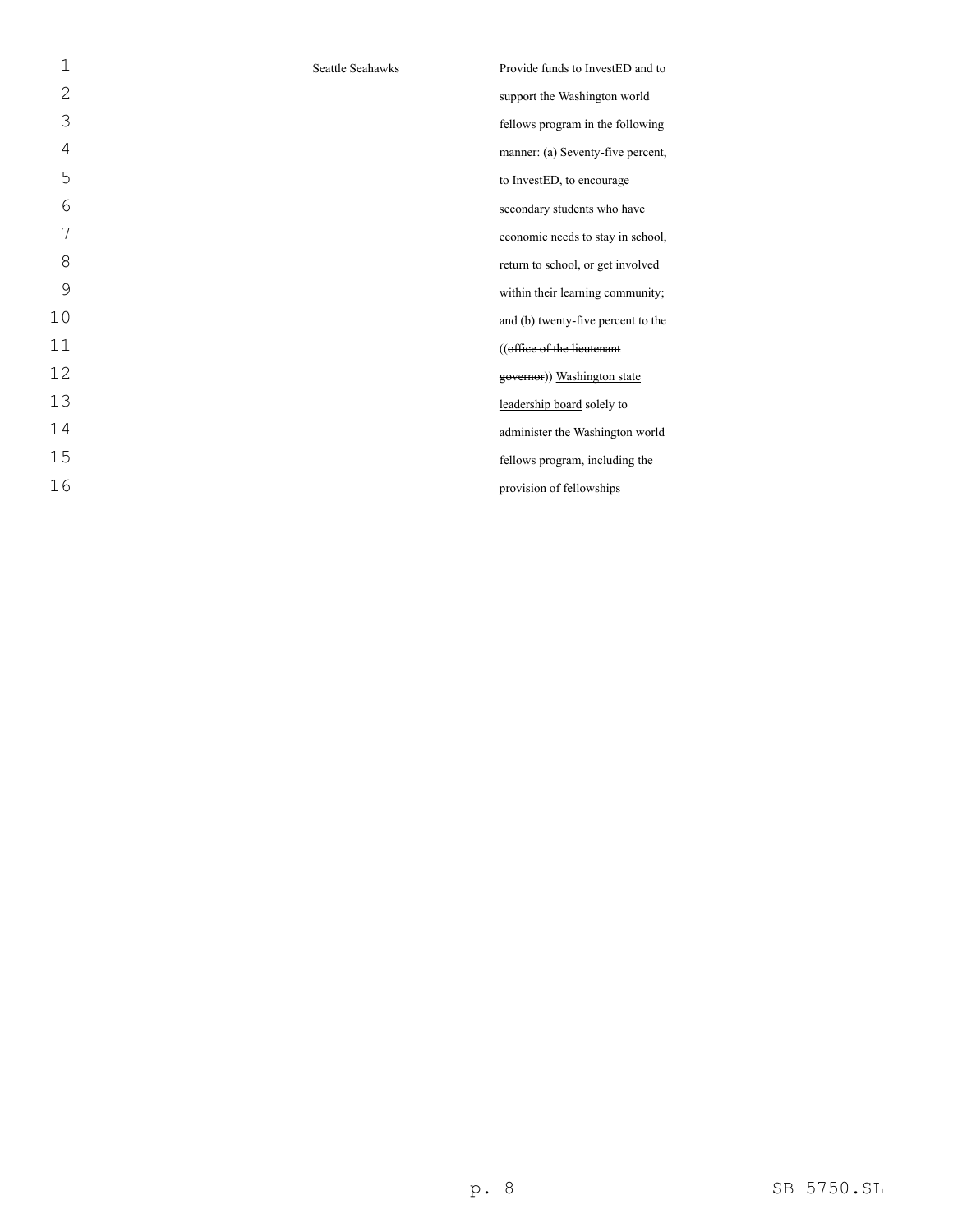| 1  | Seattle Seahawks | Provide funds to InvestED and to   |
|----|------------------|------------------------------------|
| 2  |                  | support the Washington world       |
| 3  |                  | fellows program in the following   |
| 4  |                  | manner: (a) Seventy-five percent,  |
| 5  |                  | to InvestED, to encourage          |
| 6  |                  | secondary students who have        |
| 7  |                  | economic needs to stay in school,  |
| 8  |                  | return to school, or get involved  |
| 9  |                  | within their learning community;   |
| 10 |                  | and (b) twenty-five percent to the |
| 11 |                  | ((office of the lieutenant         |
| 12 |                  | governor)) Washington state        |
| 13 |                  | leadership board solely to         |
| 14 |                  | administer the Washington world    |
| 15 |                  | fellows program, including the     |
| 16 |                  | provision of fellowships           |
|    |                  |                                    |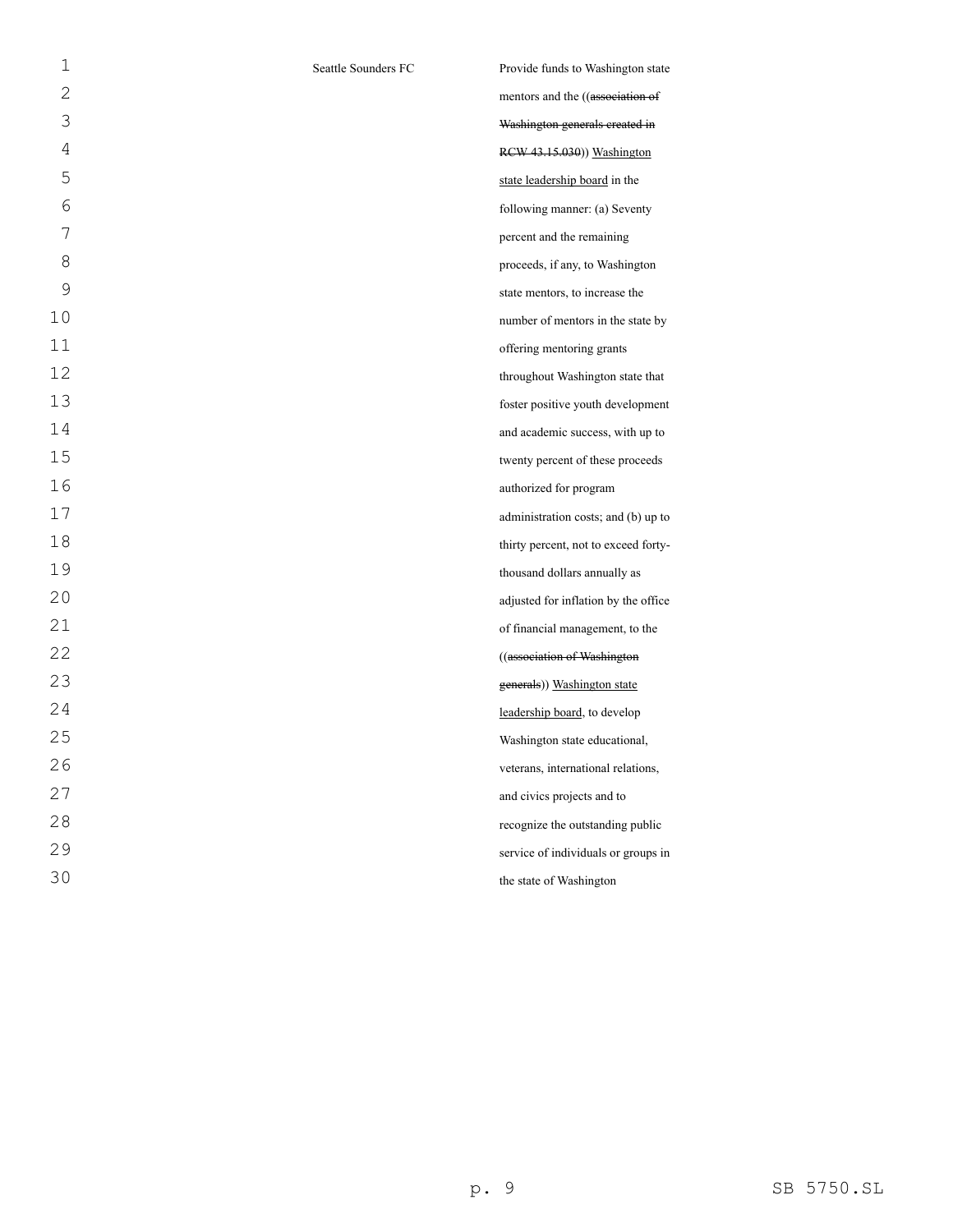| 1              | Seattle Sounders FC | Provide funds to Washington state    |
|----------------|---------------------|--------------------------------------|
| $\overline{2}$ |                     | mentors and the ((association of     |
| 3              |                     | Washington generals created in       |
| 4              |                     | RCW 43.15.030)) Washington           |
| 5              |                     | state leadership board in the        |
| 6              |                     | following manner: (a) Seventy        |
| 7              |                     | percent and the remaining            |
| 8              |                     | proceeds, if any, to Washington      |
| 9              |                     | state mentors, to increase the       |
| 10             |                     | number of mentors in the state by    |
| 11             |                     | offering mentoring grants            |
| 12             |                     | throughout Washington state that     |
| 13             |                     | foster positive youth development    |
| 14             |                     | and academic success, with up to     |
| 15             |                     | twenty percent of these proceeds     |
| 16             |                     | authorized for program               |
| 17             |                     | administration costs; and (b) up to  |
| 18             |                     | thirty percent, not to exceed forty- |
| 19             |                     | thousand dollars annually as         |
| 20             |                     | adjusted for inflation by the office |
| 21             |                     | of financial management, to the      |
| 22             |                     | ((association of Washington          |
| 23             |                     | generals)) Washington state          |
| 24             |                     | leadership board, to develop         |
| 25             |                     | Washington state educational,        |
| 26             |                     | veterans, international relations,   |
| 27             |                     | and civics projects and to           |
| 28             |                     | recognize the outstanding public     |
| 29             |                     | service of individuals or groups in  |
| 30             |                     | the state of Washington              |
|                |                     |                                      |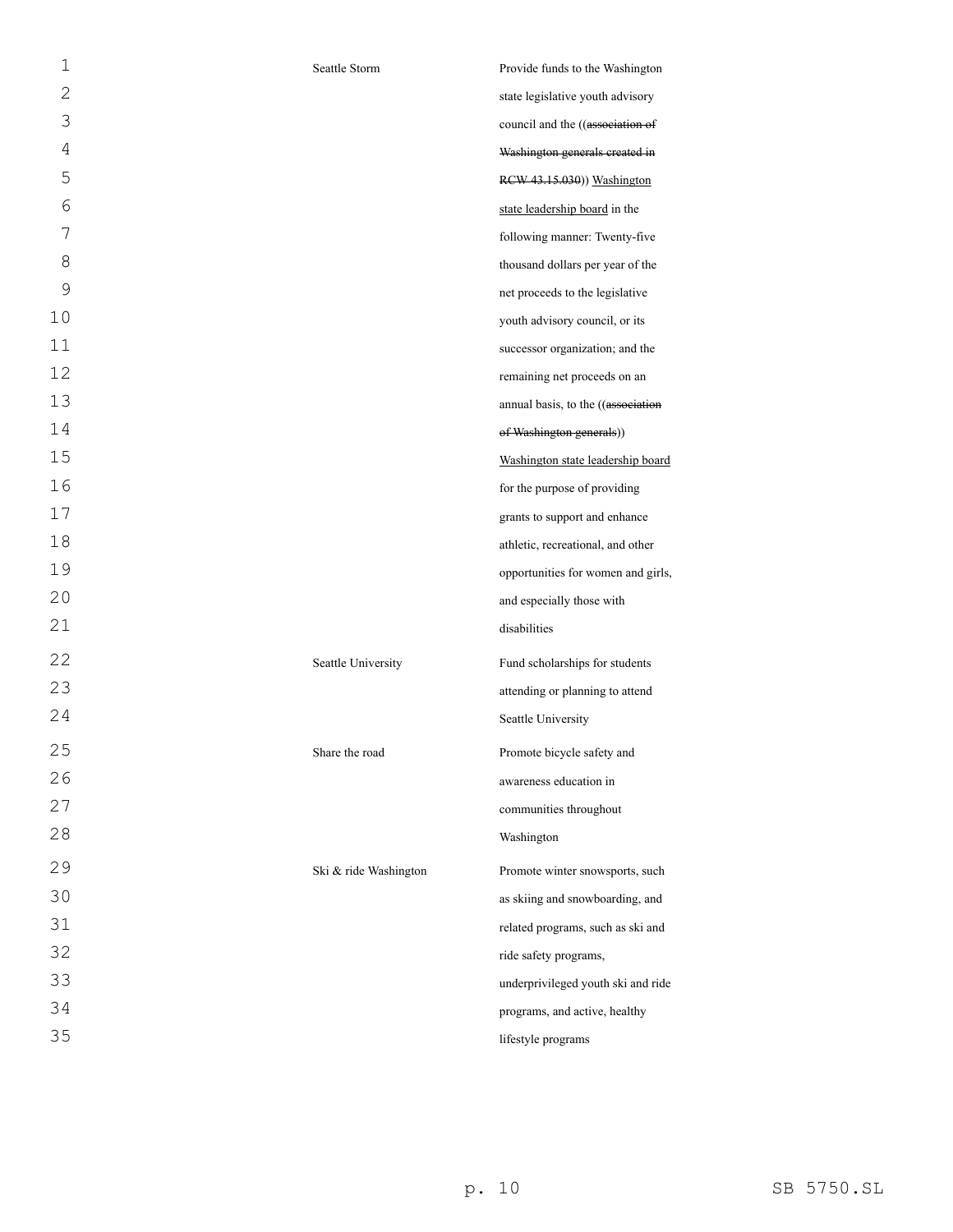| $\mathbf 1$  | Seattle Storm         | Provide funds to the Washington    |
|--------------|-----------------------|------------------------------------|
| $\mathbf{2}$ |                       | state legislative youth advisory   |
| 3            |                       | council and the ((association of   |
| 4            |                       | Washington generals created in     |
| 5            |                       | RCW 43.15.030)) Washington         |
| 6            |                       | state leadership board in the      |
| 7            |                       | following manner: Twenty-five      |
| 8            |                       | thousand dollars per year of the   |
| 9            |                       | net proceeds to the legislative    |
| 10           |                       | youth advisory council, or its     |
| 11           |                       | successor organization; and the    |
| 12           |                       | remaining net proceeds on an       |
| 13           |                       | annual basis, to the ((association |
| 14           |                       | of Washington generals))           |
| 15           |                       | Washington state leadership board  |
| 16           |                       | for the purpose of providing       |
| 17           |                       | grants to support and enhance      |
| 18           |                       | athletic, recreational, and other  |
| 19           |                       | opportunities for women and girls, |
| 20           |                       | and especially those with          |
| 21           |                       | disabilities                       |
| 22           | Seattle University    | Fund scholarships for students     |
| 23           |                       | attending or planning to attend    |
| 24           |                       | Seattle University                 |
| 25           | Share the road        | Promote bicycle safety and         |
| 26           |                       | awareness education in             |
| 27           |                       | communities throughout             |
| 28           |                       | Washington                         |
| 29           | Ski & ride Washington | Promote winter snowsports, such    |
| 30           |                       | as skiing and snowboarding, and    |
| 31           |                       | related programs, such as ski and  |
| 32           |                       | ride safety programs,              |
| 33           |                       | underprivileged youth ski and ride |
| 34           |                       | programs, and active, healthy      |
| 35           |                       | lifestyle programs                 |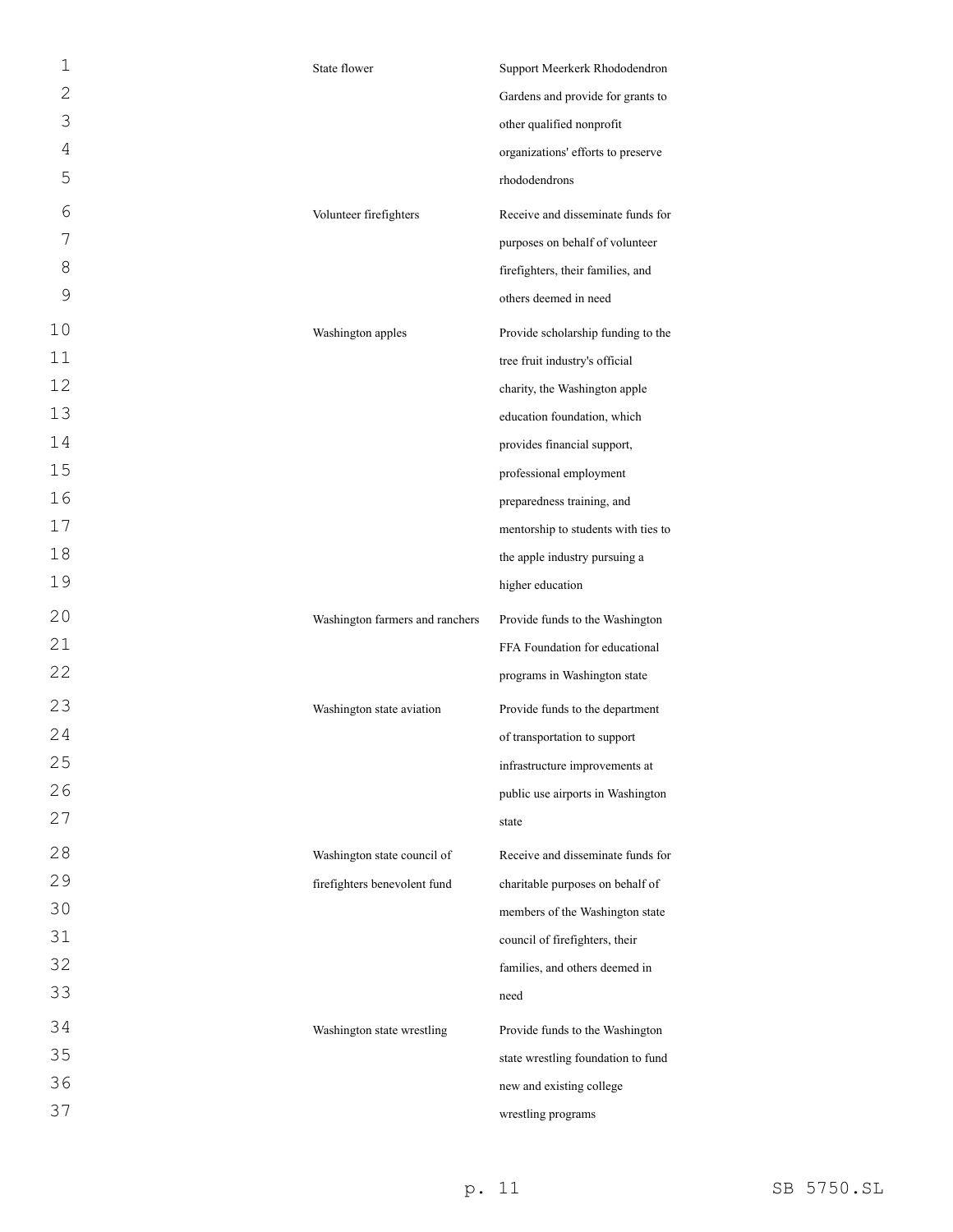| 1              | State flower                    | Support Meerkerk Rhododendron       |
|----------------|---------------------------------|-------------------------------------|
| $\overline{2}$ |                                 | Gardens and provide for grants to   |
| 3              |                                 | other qualified nonprofit           |
| 4              |                                 | organizations' efforts to preserve  |
| 5              |                                 | rhododendrons                       |
| 6              | Volunteer firefighters          | Receive and disseminate funds for   |
| 7              |                                 | purposes on behalf of volunteer     |
| 8              |                                 | firefighters, their families, and   |
| 9              |                                 | others deemed in need               |
| 10             | Washington apples               | Provide scholarship funding to the  |
| 11             |                                 | tree fruit industry's official      |
| 12             |                                 | charity, the Washington apple       |
| 13             |                                 | education foundation, which         |
| 14             |                                 | provides financial support,         |
| 15             |                                 | professional employment             |
| 16             |                                 | preparedness training, and          |
| 17             |                                 | mentorship to students with ties to |
| 18             |                                 | the apple industry pursuing a       |
| 19             |                                 | higher education                    |
|                |                                 |                                     |
| 20             | Washington farmers and ranchers | Provide funds to the Washington     |
| 21             |                                 | FFA Foundation for educational      |
| 22             |                                 | programs in Washington state        |
| 23             | Washington state aviation       | Provide funds to the department     |
| 24             |                                 | of transportation to support        |
| 25             |                                 | infrastructure improvements at      |
| 26             |                                 | public use airports in Washington   |
| 27             |                                 | state                               |
| 28             | Washington state council of     | Receive and disseminate funds for   |
| 29             | firefighters benevolent fund    | charitable purposes on behalf of    |
| 30             |                                 | members of the Washington state     |
| 31             |                                 | council of firefighters, their      |
| 32             |                                 | families, and others deemed in      |
| 33             |                                 | need                                |
| 34             | Washington state wrestling      | Provide funds to the Washington     |
| 35             |                                 | state wrestling foundation to fund  |
| 36             |                                 | new and existing college            |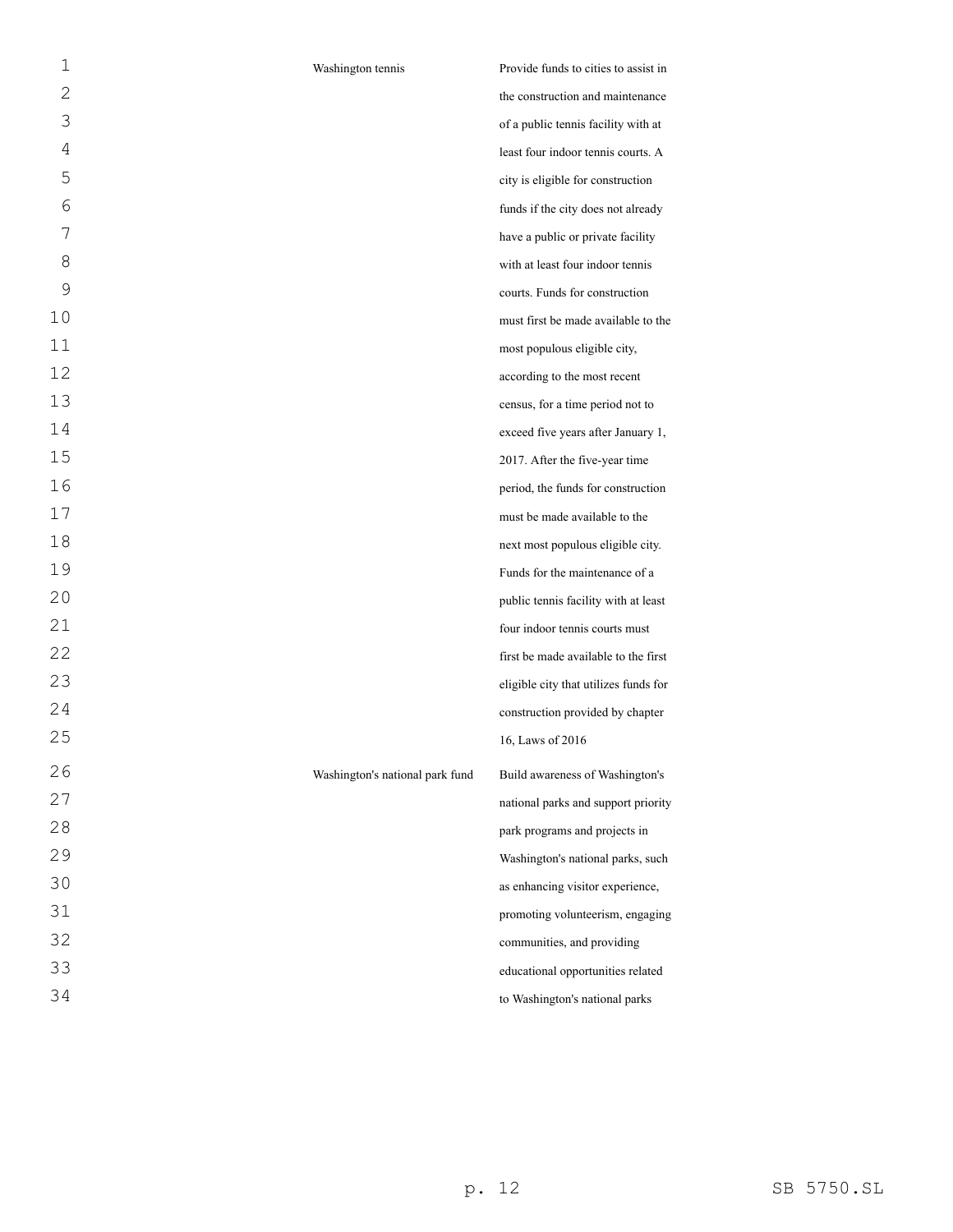| 1  | Washington tennis               | Provide funds to cities to assist in  |
|----|---------------------------------|---------------------------------------|
| 2  |                                 | the construction and maintenance      |
| 3  |                                 | of a public tennis facility with at   |
| 4  |                                 | least four indoor tennis courts. A    |
| 5  |                                 | city is eligible for construction     |
| 6  |                                 | funds if the city does not already    |
| 7  |                                 | have a public or private facility     |
| 8  |                                 | with at least four indoor tennis      |
| 9  |                                 | courts. Funds for construction        |
| 10 |                                 | must first be made available to the   |
| 11 |                                 | most populous eligible city,          |
| 12 |                                 | according to the most recent          |
| 13 |                                 | census, for a time period not to      |
| 14 |                                 | exceed five years after January 1,    |
| 15 |                                 | 2017. After the five-year time        |
| 16 |                                 | period, the funds for construction    |
| 17 |                                 | must be made available to the         |
| 18 |                                 | next most populous eligible city.     |
| 19 |                                 | Funds for the maintenance of a        |
| 20 |                                 | public tennis facility with at least  |
| 21 |                                 | four indoor tennis courts must        |
| 22 |                                 | first be made available to the first  |
| 23 |                                 | eligible city that utilizes funds for |
| 24 |                                 | construction provided by chapter      |
| 25 |                                 | 16, Laws of 2016                      |
| 26 | Washington's national park fund | Build awareness of Washington's       |
| 27 |                                 | national parks and support priority   |
| 28 |                                 | park programs and projects in         |
| 29 |                                 | Washington's national parks, such     |
| 30 |                                 | as enhancing visitor experience,      |
| 31 |                                 | promoting volunteerism, engaging      |
| 32 |                                 | communities, and providing            |
| 33 |                                 | educational opportunities related     |
| 34 |                                 | to Washington's national parks        |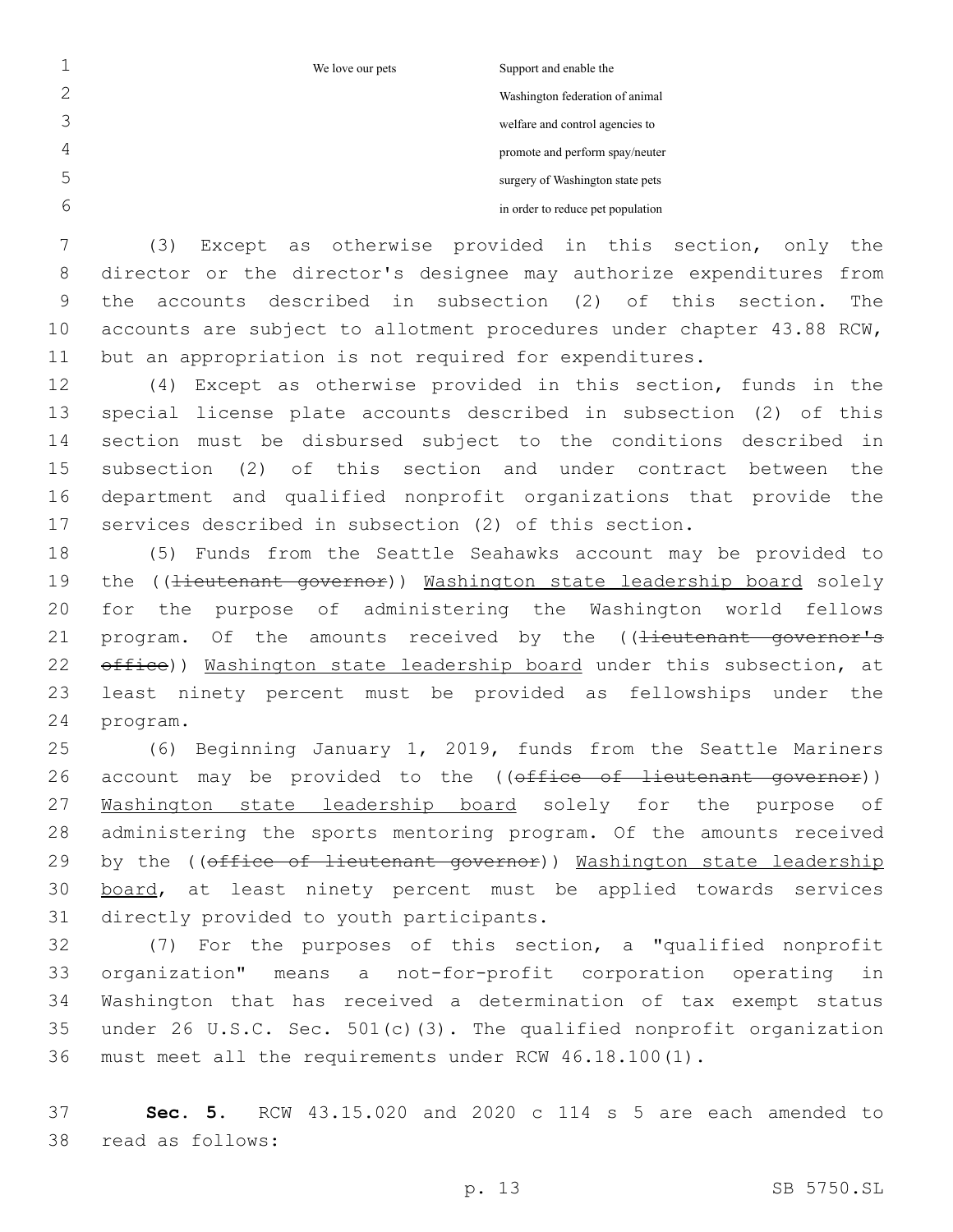We love our pets Support and enable the

Washington federation of animal welfare and control agencies to

promote and perform spay/neuter

surgery of Washington state pets

in order to reduce pet population

 (3) Except as otherwise provided in this section, only the director or the director's designee may authorize expenditures from the accounts described in subsection (2) of this section. The accounts are subject to allotment procedures under chapter 43.88 RCW, but an appropriation is not required for expenditures.

 (4) Except as otherwise provided in this section, funds in the special license plate accounts described in subsection (2) of this section must be disbursed subject to the conditions described in subsection (2) of this section and under contract between the department and qualified nonprofit organizations that provide the services described in subsection (2) of this section.

 (5) Funds from the Seattle Seahawks account may be provided to 19 the ((<del>lieutenant governor</del>)) Washington state leadership board solely for the purpose of administering the Washington world fellows 21 program. Of the amounts received by the ((lieutenant governor's 22 office)) Washington state leadership board under this subsection, at least ninety percent must be provided as fellowships under the 24 program.

 (6) Beginning January 1, 2019, funds from the Seattle Mariners 26 account may be provided to the ((office of lieutenant governor)) 27 Washington state leadership board solely for the purpose of administering the sports mentoring program. Of the amounts received 29 by the ((office of lieutenant governor)) Washington state leadership 30 board, at least ninety percent must be applied towards services 31 directly provided to youth participants.

 (7) For the purposes of this section, a "qualified nonprofit organization" means a not-for-profit corporation operating in Washington that has received a determination of tax exempt status under 26 U.S.C. Sec. 501(c)(3). The qualified nonprofit organization must meet all the requirements under RCW 46.18.100(1).

 **Sec. 5.** RCW 43.15.020 and 2020 c 114 s 5 are each amended to read as follows:38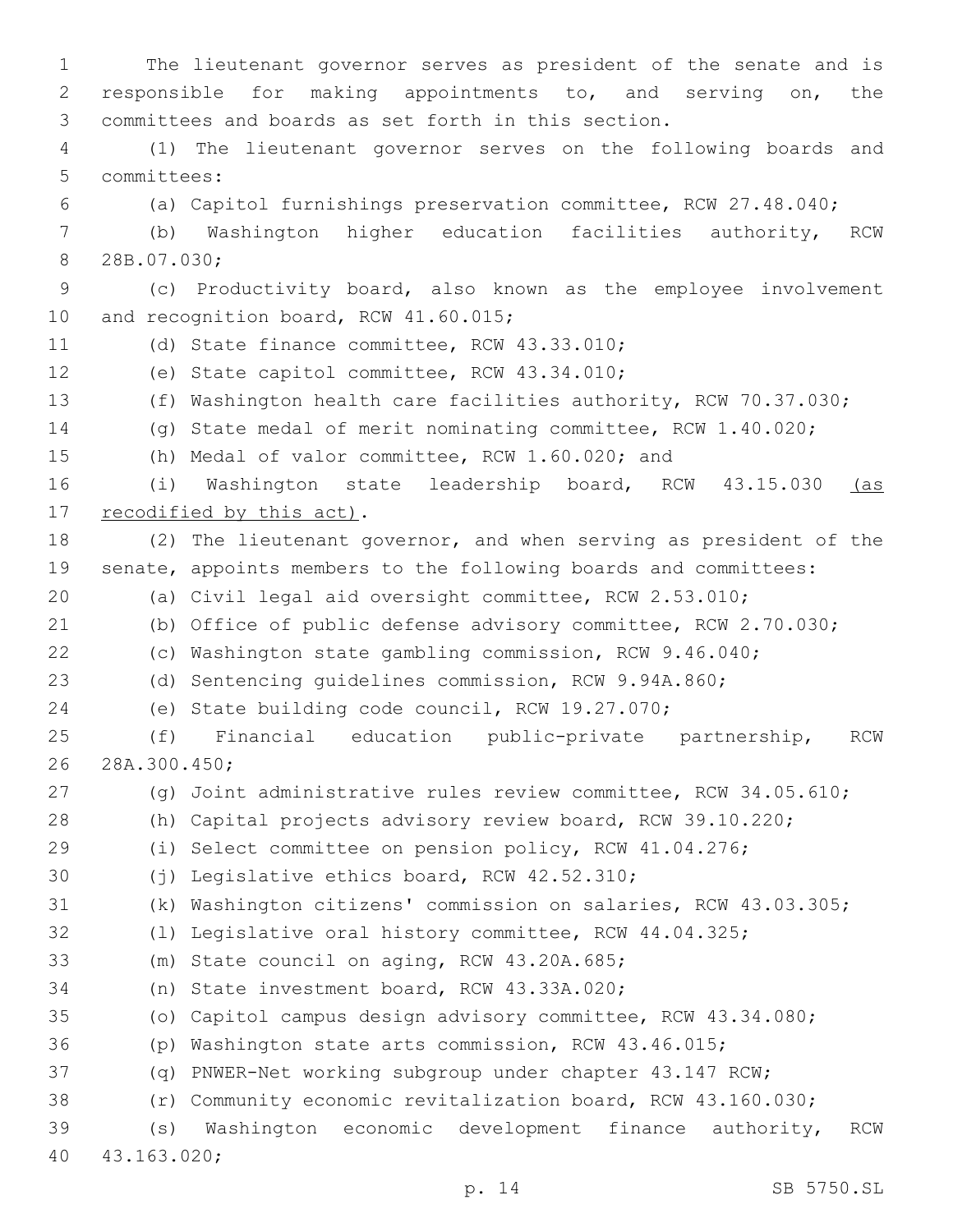The lieutenant governor serves as president of the senate and is responsible for making appointments to, and serving on, the committees and boards as set forth in this section. (1) The lieutenant governor serves on the following boards and 5 committees: (a) Capitol furnishings preservation committee, RCW 27.48.040; (b) Washington higher education facilities authority, RCW 8 28B.07.030; (c) Productivity board, also known as the employee involvement 10 and recognition board, RCW 41.60.015; 11 (d) State finance committee, RCW 43.33.010; 12 (e) State capitol committee, RCW 43.34.010; (f) Washington health care facilities authority, RCW 70.37.030; (g) State medal of merit nominating committee, RCW 1.40.020; (h) Medal of valor committee, RCW 1.60.020; and (i) Washington state leadership board, RCW 43.15.030 (as 17 recodified by this act). (2) The lieutenant governor, and when serving as president of the senate, appoints members to the following boards and committees: (a) Civil legal aid oversight committee, RCW 2.53.010; (b) Office of public defense advisory committee, RCW 2.70.030; (c) Washington state gambling commission, RCW 9.46.040; (d) Sentencing guidelines commission, RCW 9.94A.860; (e) State building code council, RCW 19.27.070; (f) Financial education public-private partnership, RCW 26 28A.300.450; (g) Joint administrative rules review committee, RCW 34.05.610; (h) Capital projects advisory review board, RCW 39.10.220; (i) Select committee on pension policy, RCW 41.04.276; 30 (j) Legislative ethics board, RCW 42.52.310; (k) Washington citizens' commission on salaries, RCW 43.03.305; (l) Legislative oral history committee, RCW 44.04.325; 33 (m) State council on aging, RCW 43.20A.685; 34 (n) State investment board, RCW 43.33A.020; (o) Capitol campus design advisory committee, RCW 43.34.080; (p) Washington state arts commission, RCW 43.46.015; (q) PNWER-Net working subgroup under chapter 43.147 RCW; (r) Community economic revitalization board, RCW 43.160.030; (s) Washington economic development finance authority, RCW 43.163.020;40

p. 14 SB 5750.SL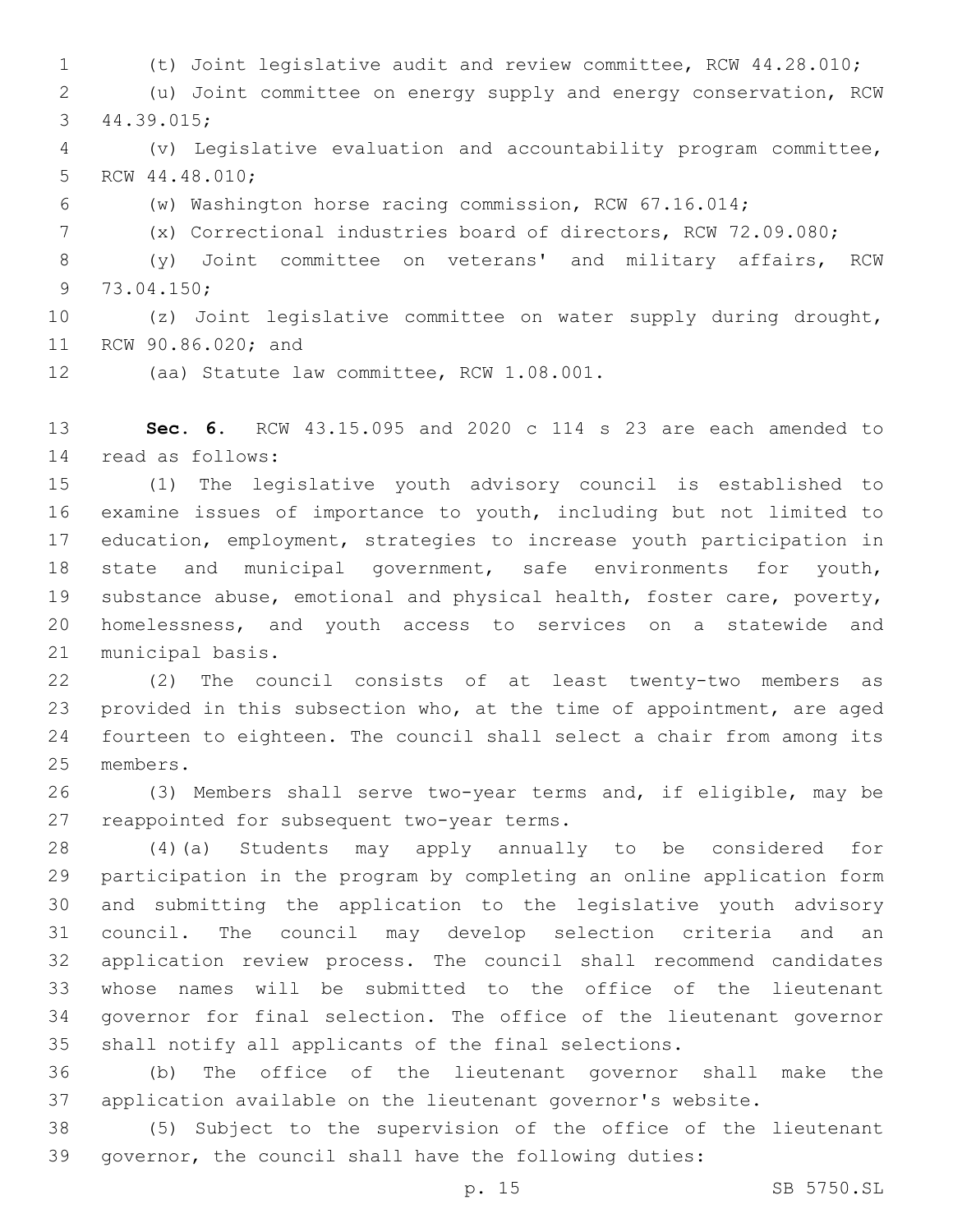(t) Joint legislative audit and review committee, RCW 44.28.010; (u) Joint committee on energy supply and energy conservation, RCW 44.39.015;3 (v) Legislative evaluation and accountability program committee, 5 RCW 44.48.010; (w) Washington horse racing commission, RCW 67.16.014; (x) Correctional industries board of directors, RCW 72.09.080; (y) Joint committee on veterans' and military affairs, RCW 9 73.04.150; (z) Joint legislative committee on water supply during drought, 11 RCW 90.86.020; and

12 (aa) Statute law committee, RCW 1.08.001.

 **Sec. 6.** RCW 43.15.095 and 2020 c 114 s 23 are each amended to read as follows:14

 (1) The legislative youth advisory council is established to examine issues of importance to youth, including but not limited to education, employment, strategies to increase youth participation in state and municipal government, safe environments for youth, substance abuse, emotional and physical health, foster care, poverty, homelessness, and youth access to services on a statewide and 21 municipal basis.

 (2) The council consists of at least twenty-two members as provided in this subsection who, at the time of appointment, are aged fourteen to eighteen. The council shall select a chair from among its 25 members.

 (3) Members shall serve two-year terms and, if eligible, may be 27 reappointed for subsequent two-year terms.

 (4)(a) Students may apply annually to be considered for participation in the program by completing an online application form and submitting the application to the legislative youth advisory council. The council may develop selection criteria and an application review process. The council shall recommend candidates whose names will be submitted to the office of the lieutenant governor for final selection. The office of the lieutenant governor shall notify all applicants of the final selections.

 (b) The office of the lieutenant governor shall make the application available on the lieutenant governor's website.

 (5) Subject to the supervision of the office of the lieutenant governor, the council shall have the following duties: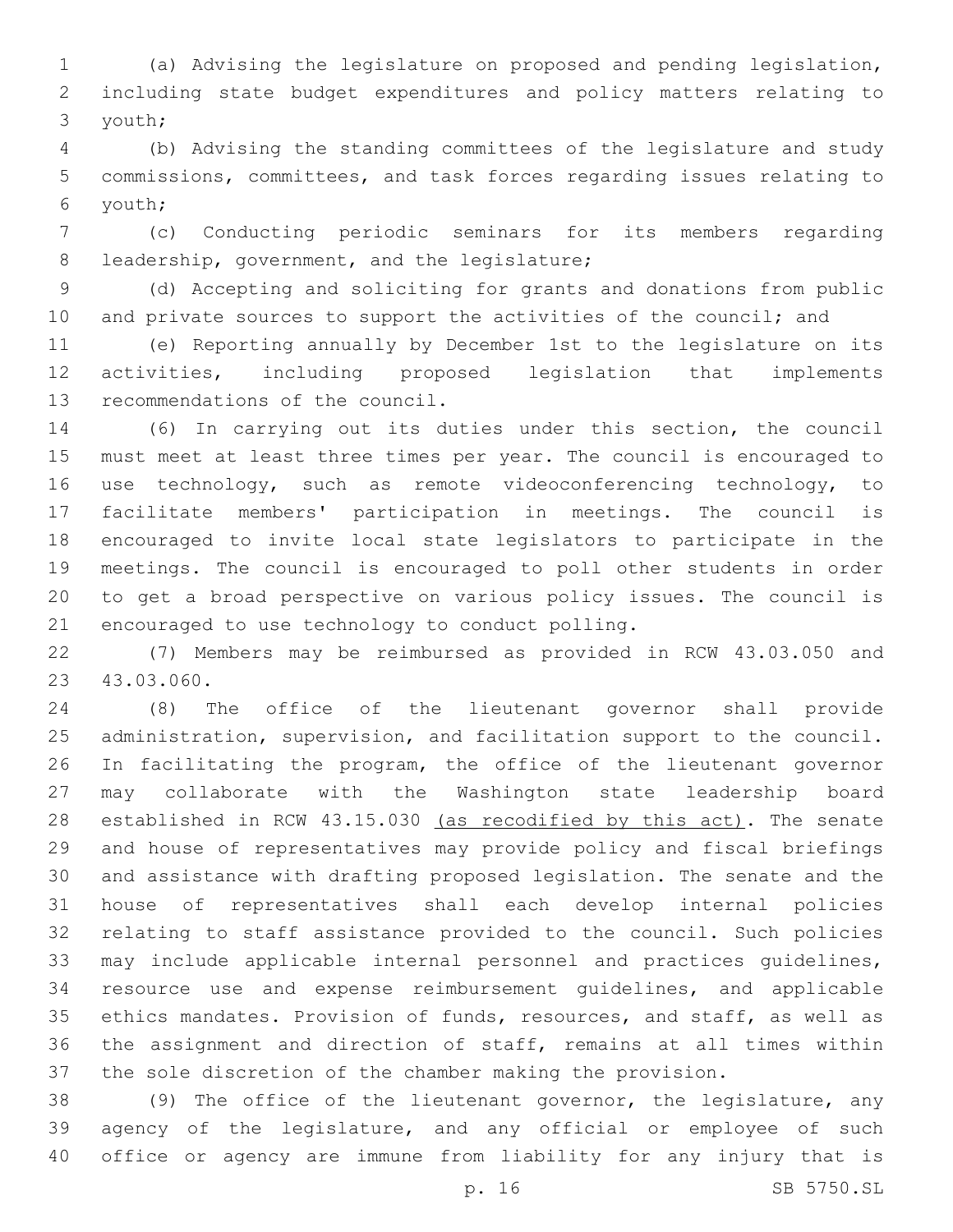(a) Advising the legislature on proposed and pending legislation, including state budget expenditures and policy matters relating to youth;3

 (b) Advising the standing committees of the legislature and study commissions, committees, and task forces regarding issues relating to youth;6

 (c) Conducting periodic seminars for its members regarding 8 leadership, government, and the legislature;

 (d) Accepting and soliciting for grants and donations from public 10 and private sources to support the activities of the council; and

 (e) Reporting annually by December 1st to the legislature on its activities, including proposed legislation that implements 13 recommendations of the council.

 (6) In carrying out its duties under this section, the council must meet at least three times per year. The council is encouraged to 16 use technology, such as remote videoconferencing technology, to facilitate members' participation in meetings. The council is encouraged to invite local state legislators to participate in the meetings. The council is encouraged to poll other students in order to get a broad perspective on various policy issues. The council is 21 encouraged to use technology to conduct polling.

 (7) Members may be reimbursed as provided in RCW 43.03.050 and 23 43.03.060.

 (8) The office of the lieutenant governor shall provide administration, supervision, and facilitation support to the council. In facilitating the program, the office of the lieutenant governor may collaborate with the Washington state leadership board 28 established in RCW 43.15.030 (as recodified by this act). The senate and house of representatives may provide policy and fiscal briefings and assistance with drafting proposed legislation. The senate and the house of representatives shall each develop internal policies relating to staff assistance provided to the council. Such policies may include applicable internal personnel and practices guidelines, resource use and expense reimbursement guidelines, and applicable ethics mandates. Provision of funds, resources, and staff, as well as the assignment and direction of staff, remains at all times within the sole discretion of the chamber making the provision.

 (9) The office of the lieutenant governor, the legislature, any agency of the legislature, and any official or employee of such office or agency are immune from liability for any injury that is

p. 16 SB 5750.SL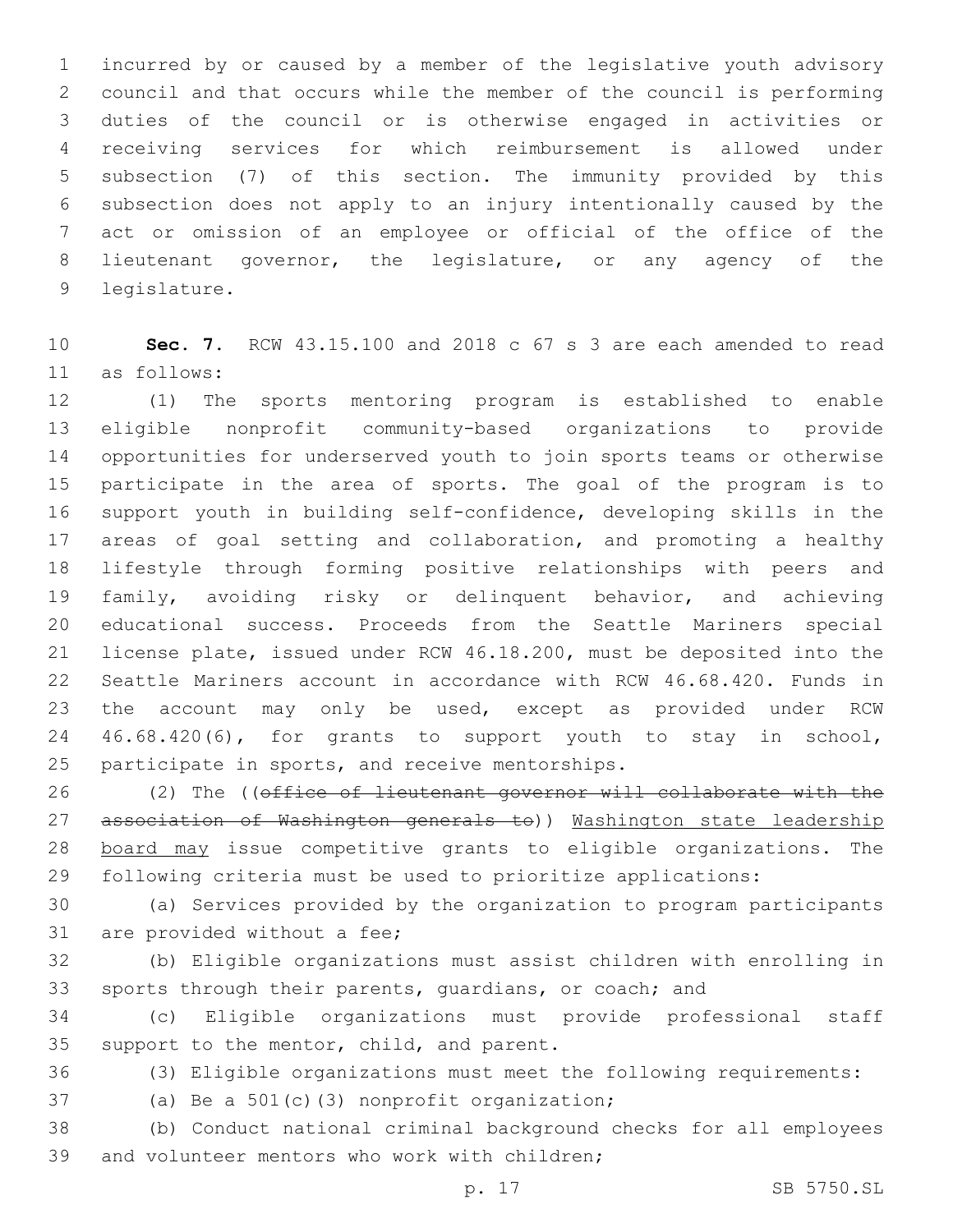incurred by or caused by a member of the legislative youth advisory council and that occurs while the member of the council is performing duties of the council or is otherwise engaged in activities or receiving services for which reimbursement is allowed under subsection (7) of this section. The immunity provided by this subsection does not apply to an injury intentionally caused by the act or omission of an employee or official of the office of the lieutenant governor, the legislature, or any agency of the 9 legislature.

 **Sec. 7.** RCW 43.15.100 and 2018 c 67 s 3 are each amended to read as follows:11

 (1) The sports mentoring program is established to enable eligible nonprofit community-based organizations to provide opportunities for underserved youth to join sports teams or otherwise participate in the area of sports. The goal of the program is to support youth in building self-confidence, developing skills in the 17 areas of goal setting and collaboration, and promoting a healthy lifestyle through forming positive relationships with peers and family, avoiding risky or delinquent behavior, and achieving educational success. Proceeds from the Seattle Mariners special license plate, issued under RCW 46.18.200, must be deposited into the Seattle Mariners account in accordance with RCW 46.68.420. Funds in the account may only be used, except as provided under RCW 46.68.420(6), for grants to support youth to stay in school, 25 participate in sports, and receive mentorships.

 (2) The ((office of lieutenant governor will collaborate with the 27 association of Washington generals to)) Washington state leadership board may issue competitive grants to eligible organizations. The following criteria must be used to prioritize applications:

 (a) Services provided by the organization to program participants 31 are provided without a fee;

 (b) Eligible organizations must assist children with enrolling in sports through their parents, guardians, or coach; and

 (c) Eligible organizations must provide professional staff 35 support to the mentor, child, and parent.

(3) Eligible organizations must meet the following requirements:

37 (a) Be a 501(c)(3) nonprofit organization;

 (b) Conduct national criminal background checks for all employees 39 and volunteer mentors who work with children;